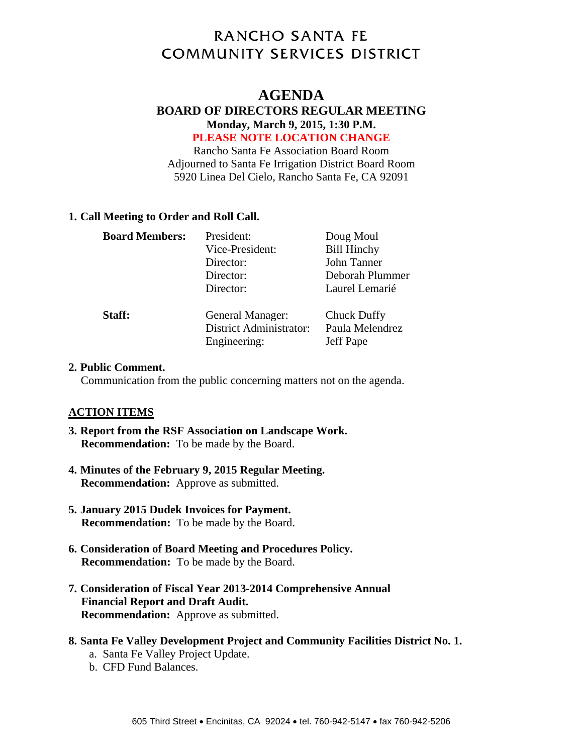# **RANCHO SANTA FE COMMUNITY SERVICES DISTRICT**

## **AGENDA**

#### **BOARD OF DIRECTORS REGULAR MEETING Monday, March 9, 2015, 1:30 P.M. PLEASE NOTE LOCATION CHANGE**

Rancho Santa Fe Association Board Room Adjourned to Santa Fe Irrigation District Board Room 5920 Linea Del Cielo, Rancho Santa Fe, CA 92091

#### **1. Call Meeting to Order and Roll Call.**

| <b>Board Members:</b> | President:                                                         | Doug Moul                                   |
|-----------------------|--------------------------------------------------------------------|---------------------------------------------|
|                       | Vice-President:                                                    | <b>Bill Hinchy</b>                          |
|                       | Director:                                                          | John Tanner                                 |
|                       | Director:                                                          | Deborah Plummer                             |
|                       | Director:                                                          | Laurel Lemarié                              |
| Staff:                | General Manager:<br><b>District Administrator:</b><br>Engineering: | Chuck Duffy<br>Paula Melendrez<br>Jeff Pape |

#### **2. Public Comment.**

Communication from the public concerning matters not on the agenda.

#### **ACTION ITEMS**

- **3. Report from the RSF Association on Landscape Work. Recommendation:** To be made by the Board.
- **4. Minutes of the February 9, 2015 Regular Meeting. Recommendation:** Approve as submitted.
- **5. January 2015 Dudek Invoices for Payment. Recommendation:** To be made by the Board.
- **6. Consideration of Board Meeting and Procedures Policy. Recommendation:** To be made by the Board.
- **7. Consideration of Fiscal Year 2013-2014 Comprehensive Annual Financial Report and Draft Audit. Recommendation:** Approve as submitted.
- **8. Santa Fe Valley Development Project and Community Facilities District No. 1.** 
	- a. Santa Fe Valley Project Update.
	- b. CFD Fund Balances.